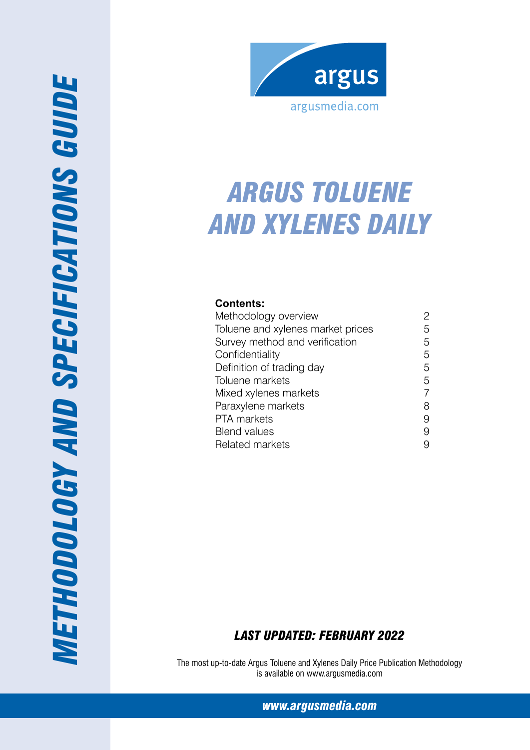

# *Arg us Toluene and Xylenes Dail y*

## **Contents:**

| Methodology overview              |   |
|-----------------------------------|---|
| Toluene and xylenes market prices | 5 |
| Survey method and verification    | 5 |
| Confidentiality                   | 5 |
| Definition of trading day         | 5 |
| Toluene markets                   | 5 |
| Mixed xylenes markets             |   |
| Paraxylene markets                | 8 |
| PTA markets                       | 9 |
| <b>Blend values</b>               | 9 |
| <b>Related markets</b>            |   |

## *Last Updated: Febr uary 2022*

The most up-to-date Argus Toluene and Xylenes Daily Price Publication Methodology is available on www.argusmedia.com

*www.argusmedia.com*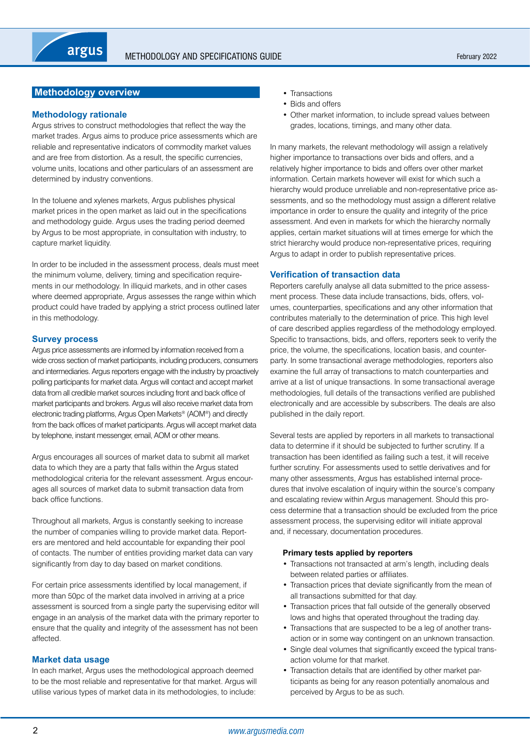## <span id="page-1-0"></span>**Methodology overview**

#### **Methodology rationale**

Argus strives to construct methodologies that reflect the way the market trades. Argus aims to produce price assessments which are reliable and representative indicators of commodity market values and are free from distortion. As a result, the specific currencies, volume units, locations and other particulars of an assessment are determined by industry conventions.

In the toluene and xylenes markets, Argus publishes physical market prices in the open market as laid out in the specifications and methodology guide. Argus uses the trading period deemed by Argus to be most appropriate, in consultation with industry, to capture market liquidity.

In order to be included in the assessment process, deals must meet the minimum volume, delivery, timing and specification requirements in our methodology. In illiquid markets, and in other cases where deemed appropriate, Argus assesses the range within which product could have traded by applying a strict process outlined later in this methodology.

#### **Survey process**

Argus price assessments are informed by information received from a wide cross section of market participants, including producers, consumers and intermediaries. Argus reporters engage with the industry by proactively polling participants for market data. Argus will contact and accept market data from all credible market sources including front and back office of market participants and brokers. Argus will also receive market data from electronic trading platforms, Argus Open Markets® (AOM®) and directly from the back offices of market participants. Argus will accept market data by telephone, instant messenger, email, AOM or other means.

Argus encourages all sources of market data to submit all market data to which they are a party that falls within the Argus stated methodological criteria for the relevant assessment. Argus encourages all sources of market data to submit transaction data from back office functions.

Throughout all markets, Argus is constantly seeking to increase the number of companies willing to provide market data. Reporters are mentored and held accountable for expanding their pool of contacts. The number of entities providing market data can vary significantly from day to day based on market conditions.

For certain price assessments identified by local management, if more than 50pc of the market data involved in arriving at a price assessment is sourced from a single party the supervising editor will engage in an analysis of the market data with the primary reporter to ensure that the quality and integrity of the assessment has not been affected.

#### **Market data usage**

In each market, Argus uses the methodological approach deemed to be the most reliable and representative for that market. Argus will utilise various types of market data in its methodologies, to include:

- Transactions
- Bids and offers
- Other market information, to include spread values between grades, locations, timings, and many other data.

In many markets, the relevant methodology will assign a relatively higher importance to transactions over bids and offers, and a relatively higher importance to bids and offers over other market information. Certain markets however will exist for which such a hierarchy would produce unreliable and non-representative price assessments, and so the methodology must assign a different relative importance in order to ensure the quality and integrity of the price assessment. And even in markets for which the hierarchy normally applies, certain market situations will at times emerge for which the strict hierarchy would produce non-representative prices, requiring Argus to adapt in order to publish representative prices.

#### **Verification of transaction data**

Reporters carefully analyse all data submitted to the price assessment process. These data include transactions, bids, offers, volumes, counterparties, specifications and any other information that contributes materially to the determination of price. This high level of care described applies regardless of the methodology employed. Specific to transactions, bids, and offers, reporters seek to verify the price, the volume, the specifications, location basis, and counterparty. In some transactional average methodologies, reporters also examine the full array of transactions to match counterparties and arrive at a list of unique transactions. In some transactional average methodologies, full details of the transactions verified are published electronically and are accessible by subscribers. The deals are also published in the daily report.

Several tests are applied by reporters in all markets to transactional data to determine if it should be subjected to further scrutiny. If a transaction has been identified as failing such a test, it will receive further scrutiny. For assessments used to settle derivatives and for many other assessments, Argus has established internal procedures that involve escalation of inquiry within the source's company and escalating review within Argus management. Should this process determine that a transaction should be excluded from the price assessment process, the supervising editor will initiate approval and, if necessary, documentation procedures.

#### **Primary tests applied by reporters**

- Transactions not transacted at arm's length, including deals between related parties or affiliates.
- Transaction prices that deviate significantly from the mean of all transactions submitted for that day.
- Transaction prices that fall outside of the generally observed lows and highs that operated throughout the trading day.
- Transactions that are suspected to be a leg of another transaction or in some way contingent on an unknown transaction.
- Single deal volumes that significantly exceed the typical transaction volume for that market.
- Transaction details that are identified by other market participants as being for any reason potentially anomalous and perceived by Argus to be as such.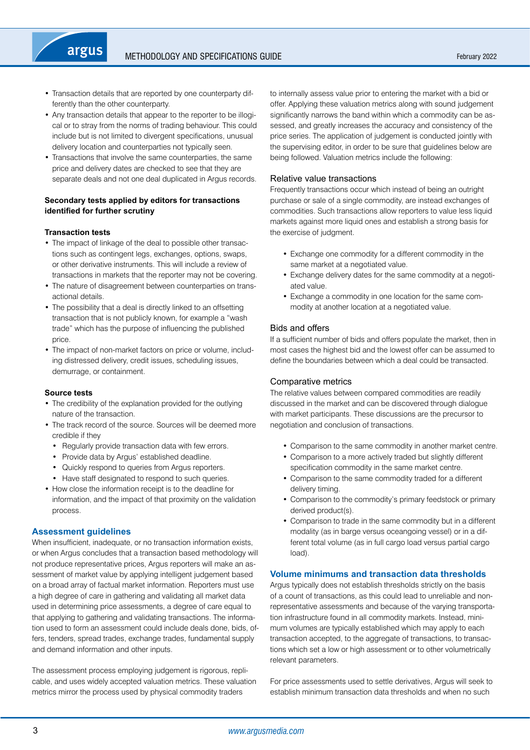- Transaction details that are reported by one counterparty differently than the other counterparty.
- Any transaction details that appear to the reporter to be illogical or to stray from the norms of trading behaviour. This could include but is not limited to divergent specifications, unusual delivery location and counterparties not typically seen.
- Transactions that involve the same counterparties, the same price and delivery dates are checked to see that they are separate deals and not one deal duplicated in Argus records.

## **Secondary tests applied by editors for transactions identified for further scrutiny**

## **Transaction tests**

argus

- The impact of linkage of the deal to possible other transactions such as contingent legs, exchanges, options, swaps, or other derivative instruments. This will include a review of transactions in markets that the reporter may not be covering.
- The nature of disagreement between counterparties on transactional details.
- The possibility that a deal is directly linked to an offsetting transaction that is not publicly known, for example a "wash trade" which has the purpose of influencing the published price.
- The impact of non-market factors on price or volume, including distressed delivery, credit issues, scheduling issues, demurrage, or containment.

#### **Source tests**

- The credibility of the explanation provided for the outlying nature of the transaction.
- The track record of the source. Sources will be deemed more credible if they
	- Regularly provide transaction data with few errors.
	- Provide data by Argus' established deadline.
	- Quickly respond to queries from Argus reporters.
- Have staff designated to respond to such queries.
- How close the information receipt is to the deadline for information, and the impact of that proximity on the validation process.

## **Assessment guidelines**

When insufficient, inadequate, or no transaction information exists, or when Argus concludes that a transaction based methodology will not produce representative prices, Argus reporters will make an assessment of market value by applying intelligent judgement based on a broad array of factual market information. Reporters must use a high degree of care in gathering and validating all market data used in determining price assessments, a degree of care equal to that applying to gathering and validating transactions. The information used to form an assessment could include deals done, bids, offers, tenders, spread trades, exchange trades, fundamental supply and demand information and other inputs.

The assessment process employing judgement is rigorous, replicable, and uses widely accepted valuation metrics. These valuation metrics mirror the process used by physical commodity traders

to internally assess value prior to entering the market with a bid or offer. Applying these valuation metrics along with sound judgement significantly narrows the band within which a commodity can be assessed, and greatly increases the accuracy and consistency of the price series. The application of judgement is conducted jointly with the supervising editor, in order to be sure that guidelines below are being followed. Valuation metrics include the following:

## Relative value transactions

Frequently transactions occur which instead of being an outright purchase or sale of a single commodity, are instead exchanges of commodities. Such transactions allow reporters to value less liquid markets against more liquid ones and establish a strong basis for the exercise of judgment.

- Exchange one commodity for a different commodity in the same market at a negotiated value.
- Exchange delivery dates for the same commodity at a negotiated value.
- Exchange a commodity in one location for the same commodity at another location at a negotiated value.

#### Bids and offers

If a sufficient number of bids and offers populate the market, then in most cases the highest bid and the lowest offer can be assumed to define the boundaries between which a deal could be transacted.

## Comparative metrics

The relative values between compared commodities are readily discussed in the market and can be discovered through dialogue with market participants. These discussions are the precursor to negotiation and conclusion of transactions.

- Comparison to the same commodity in another market centre.
- Comparison to a more actively traded but slightly different specification commodity in the same market centre.
- Comparison to the same commodity traded for a different delivery timing.
- Comparison to the commodity's primary feedstock or primary derived product(s).
- Comparison to trade in the same commodity but in a different modality (as in barge versus oceangoing vessel) or in a different total volume (as in full cargo load versus partial cargo load).

## **Volume minimums and transaction data thresholds**

Argus typically does not establish thresholds strictly on the basis of a count of transactions, as this could lead to unreliable and nonrepresentative assessments and because of the varying transportation infrastructure found in all commodity markets. Instead, minimum volumes are typically established which may apply to each transaction accepted, to the aggregate of transactions, to transactions which set a low or high assessment or to other volumetrically relevant parameters.

For price assessments used to settle derivatives, Argus will seek to establish minimum transaction data thresholds and when no such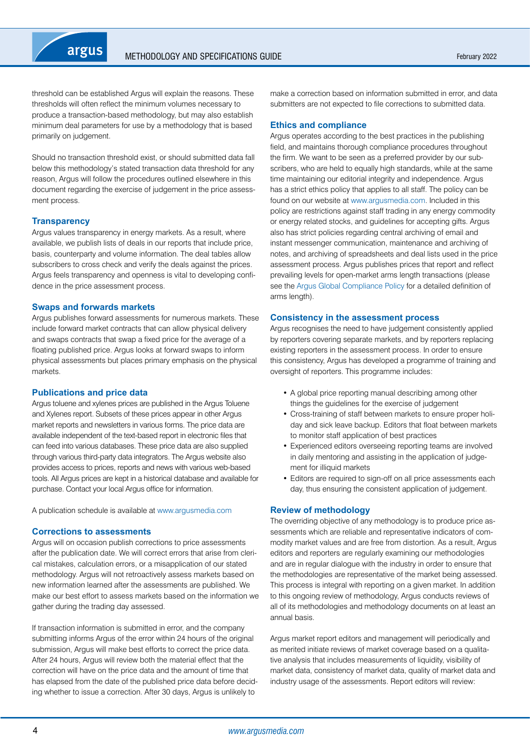

threshold can be established Argus will explain the reasons. These thresholds will often reflect the minimum volumes necessary to produce a transaction-based methodology, but may also establish minimum deal parameters for use by a methodology that is based primarily on judgement.

Should no transaction threshold exist, or should submitted data fall below this methodology's stated transaction data threshold for any reason, Argus will follow the procedures outlined elsewhere in this document regarding the exercise of judgement in the price assessment process.

#### **Transparency**

Argus values transparency in energy markets. As a result, where available, we publish lists of deals in our reports that include price, basis, counterparty and volume information. The deal tables allow subscribers to cross check and verify the deals against the prices. Argus feels transparency and openness is vital to developing confidence in the price assessment process.

#### **Swaps and forwards markets**

Argus publishes forward assessments for numerous markets. These include forward market contracts that can allow physical delivery and swaps contracts that swap a fixed price for the average of a floating published price. Argus looks at forward swaps to inform physical assessments but places primary emphasis on the physical markets.

#### **Publications and price data**

Argus toluene and xylenes prices are published in the Argus Toluene and Xylenes report. Subsets of these prices appear in other Argus market reports and newsletters in various forms. The price data are available independent of the text-based report in electronic files that can feed into various databases. These price data are also supplied through various third-party data integrators. The Argus website also provides access to prices, reports and news with various web-based tools. All Argus prices are kept in a historical database and available for purchase. Contact your local Argus office for information.

A publication schedule is available at [www.argusmedia.com](https://www.argusmedia.com/en)

#### **Corrections to assessments**

Argus will on occasion publish corrections to price assessments after the publication date. We will correct errors that arise from clerical mistakes, calculation errors, or a misapplication of our stated methodology. Argus will not retroactively assess markets based on new information learned after the assessments are published. We make our best effort to assess markets based on the information we gather during the trading day assessed.

If transaction information is submitted in error, and the company submitting informs Argus of the error within 24 hours of the original submission. Argus will make best efforts to correct the price data. After 24 hours, Argus will review both the material effect that the correction will have on the price data and the amount of time that has elapsed from the date of the published price data before deciding whether to issue a correction. After 30 days, Argus is unlikely to

make a correction based on information submitted in error, and data submitters are not expected to file corrections to submitted data.

#### **Ethics and compliance**

Argus operates according to the best practices in the publishing field, and maintains thorough compliance procedures throughout the firm. We want to be seen as a preferred provider by our subscribers, who are held to equally high standards, while at the same time maintaining our editorial integrity and independence. Argus has a strict ethics policy that applies to all staff. The policy can be found on our website at [www.argusmedia.com.](https://www.argusmedia.com/en) Included in this policy are restrictions against staff trading in any energy commodity or energy related stocks, and guidelines for accepting gifts. Argus also has strict policies regarding central archiving of email and instant messenger communication, maintenance and archiving of notes, and archiving of spreadsheets and deal lists used in the price assessment process. Argus publishes prices that report and reflect prevailing levels for open-market arms length transactions (please see the [Argus Global Compliance Policy](https://www.argusmedia.com/en/about-us/governance-compliance) for a detailed definition of arms length).

#### **Consistency in the assessment process**

Argus recognises the need to have judgement consistently applied by reporters covering separate markets, and by reporters replacing existing reporters in the assessment process. In order to ensure this consistency, Argus has developed a programme of training and oversight of reporters. This programme includes:

- A global price reporting manual describing among other things the guidelines for the exercise of judgement
- Cross-training of staff between markets to ensure proper holiday and sick leave backup. Editors that float between markets to monitor staff application of best practices
- Experienced editors overseeing reporting teams are involved in daily mentoring and assisting in the application of judgement for illiquid markets
- Editors are required to sign-off on all price assessments each day, thus ensuring the consistent application of judgement.

#### **Review of methodology**

The overriding objective of any methodology is to produce price assessments which are reliable and representative indicators of commodity market values and are free from distortion. As a result, Argus editors and reporters are regularly examining our methodologies and are in regular dialogue with the industry in order to ensure that the methodologies are representative of the market being assessed. This process is integral with reporting on a given market. In addition to this ongoing review of methodology, Argus conducts reviews of all of its methodologies and methodology documents on at least an annual basis.

Argus market report editors and management will periodically and as merited initiate reviews of market coverage based on a qualitative analysis that includes measurements of liquidity, visibility of market data, consistency of market data, quality of market data and industry usage of the assessments. Report editors will review: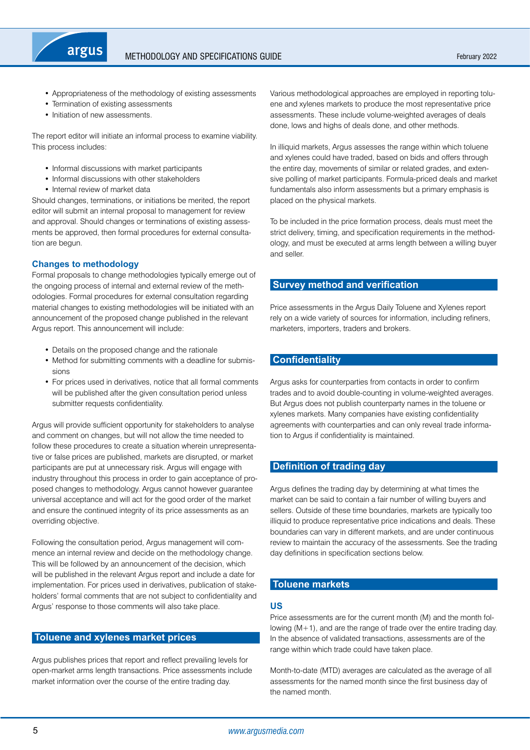<span id="page-4-0"></span>

- Appropriateness of the methodology of existing assessments
- Termination of existing assessments
- Initiation of new assessments.

The report editor will initiate an informal process to examine viability. This process includes:

- Informal discussions with market participants
- Informal discussions with other stakeholders
- Internal review of market data

Should changes, terminations, or initiations be merited, the report editor will submit an internal proposal to management for review and approval. Should changes or terminations of existing assessments be approved, then formal procedures for external consultation are begun.

## **Changes to methodology**

Formal proposals to change methodologies typically emerge out of the ongoing process of internal and external review of the methodologies. Formal procedures for external consultation regarding material changes to existing methodologies will be initiated with an announcement of the proposed change published in the relevant Argus report. This announcement will include:

- Details on the proposed change and the rationale
- Method for submitting comments with a deadline for submissions
- For prices used in derivatives, notice that all formal comments will be published after the given consultation period unless submitter requests confidentiality.

Argus will provide sufficient opportunity for stakeholders to analyse and comment on changes, but will not allow the time needed to follow these procedures to create a situation wherein unrepresentative or false prices are published, markets are disrupted, or market participants are put at unnecessary risk. Argus will engage with industry throughout this process in order to gain acceptance of proposed changes to methodology. Argus cannot however guarantee universal acceptance and will act for the good order of the market and ensure the continued integrity of its price assessments as an overriding objective.

Following the consultation period. Argus management will commence an internal review and decide on the methodology change. This will be followed by an announcement of the decision, which will be published in the relevant Argus report and include a date for implementation. For prices used in derivatives, publication of stakeholders' formal comments that are not subject to confidentiality and Argus' response to those comments will also take place.

## **Toluene and xylenes market prices**

Argus publishes prices that report and reflect prevailing levels for open-market arms length transactions. Price assessments include market information over the course of the entire trading day.

Various methodological approaches are employed in reporting toluene and xylenes markets to produce the most representative price assessments. These include volume-weighted averages of deals done, lows and highs of deals done, and other methods.

In illiquid markets, Argus assesses the range within which toluene and xylenes could have traded, based on bids and offers through the entire day, movements of similar or related grades, and extensive polling of market participants. Formula-priced deals and market fundamentals also inform assessments but a primary emphasis is placed on the physical markets.

To be included in the price formation process, deals must meet the strict delivery, timing, and specification requirements in the methodology, and must be executed at arms length between a willing buyer and seller.

## **Survey method and verification**

Price assessments in the Argus Daily Toluene and Xylenes report rely on a wide variety of sources for information, including refiners, marketers, importers, traders and brokers.

## **Confidentiality**

Argus asks for counterparties from contacts in order to confirm trades and to avoid double-counting in volume-weighted averages. But Argus does not publish counterparty names in the toluene or xylenes markets. Many companies have existing confidentiality agreements with counterparties and can only reveal trade information to Argus if confidentiality is maintained.

## **Definition of trading day**

Argus defines the trading day by determining at what times the market can be said to contain a fair number of willing buyers and sellers. Outside of these time boundaries, markets are typically too illiquid to produce representative price indications and deals. These boundaries can vary in different markets, and are under continuous review to maintain the accuracy of the assessments. See the trading day definitions in specification sections below.

## **Toluene markets**

## **US**

Price assessments are for the current month (M) and the month following (M+1), and are the range of trade over the entire trading day. In the absence of validated transactions, assessments are of the range within which trade could have taken place.

Month-to-date (MTD) averages are calculated as the average of all assessments for the named month since the first business day of the named month.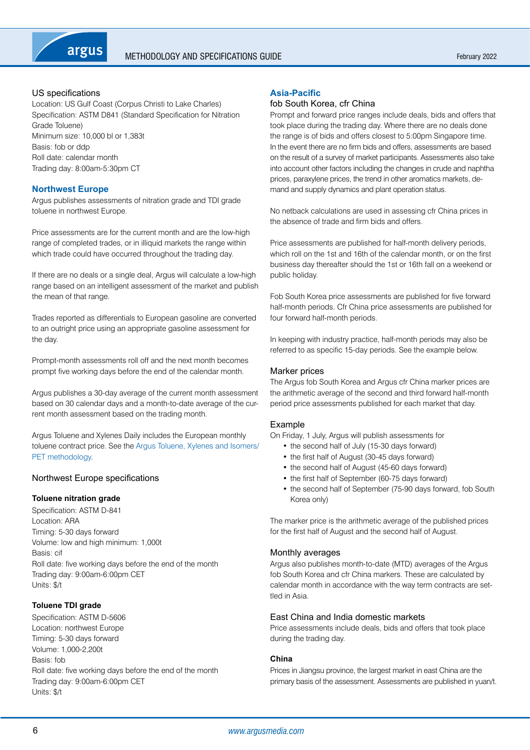

## US specifications

Location: US Gulf Coast (Corpus Christi to Lake Charles) Specification: ASTM D841 (Standard Specification for Nitration Grade Toluene) Minimum size: 10,000 bl or 1,383t Basis: fob or ddp Roll date: calendar month Trading day: 8:00am-5:30pm CT

## **Northwest Europe**

Argus publishes assessments of nitration grade and TDI grade toluene in northwest Europe.

Price assessments are for the current month and are the low-high range of completed trades, or in illiquid markets the range within which trade could have occurred throughout the trading day.

If there are no deals or a single deal, Argus will calculate a low-high range based on an intelligent assessment of the market and publish the mean of that range.

Trades reported as differentials to European gasoline are converted to an outright price using an appropriate gasoline assessment for the day.

Prompt-month assessments roll off and the next month becomes prompt five working days before the end of the calendar month.

Argus publishes a 30-day average of the current month assessment based on 30 calendar days and a month-to-date average of the current month assessment based on the trading month.

Argus Toluene and Xylenes Daily includes the European monthly toluene contract price. See the [Argus Toluene, Xylenes and Isomers/](https://www.argusmedia.com/-/media/Files/methodology/argus-toluene-xylenes-and-isomers-pet.ashx) [PET methodology](https://www.argusmedia.com/-/media/Files/methodology/argus-toluene-xylenes-and-isomers-pet.ashx).

## Northwest Europe specifications

## **Toluene nitration grade**

Specification: ASTM D-841 Location: ARA Timing: 5-30 days forward Volume: low and high minimum: 1,000t Basis: cif Roll date: five working days before the end of the month Trading day: 9:00am-6:00pm CET Units: \$/t

## **Toluene TDI grade**

Specification: ASTM D-5606 Location: northwest Europe Timing: 5-30 days forward Volume: 1,000-2,200t Basis: fob Roll date: five working days before the end of the month Trading day: 9:00am-6:00pm CET Units: \$/t

## **Asia-Pacific**

## fob South Korea, cfr China

Prompt and forward price ranges include deals, bids and offers that took place during the trading day. Where there are no deals done the range is of bids and offers closest to 5:00pm Singapore time. In the event there are no firm bids and offers, assessments are based on the result of a survey of market participants. Assessments also take into account other factors including the changes in crude and naphtha prices, paraxylene prices, the trend in other aromatics markets, demand and supply dynamics and plant operation status.

No netback calculations are used in assessing cfr China prices in the absence of trade and firm bids and offers.

Price assessments are published for half-month delivery periods, which roll on the 1st and 16th of the calendar month, or on the first business day thereafter should the 1st or 16th fall on a weekend or public holiday.

Fob South Korea price assessments are published for five forward half-month periods. Cfr China price assessments are published for four forward half-month periods.

In keeping with industry practice, half-month periods may also be referred to as specific 15-day periods. See the example below.

#### Marker prices

The Argus fob South Korea and Argus cfr China marker prices are the arithmetic average of the second and third forward half-month period price assessments published for each market that day.

#### Example

On Friday, 1 July, Argus will publish assessments for

- the second half of July (15-30 days forward)
- the first half of August (30-45 days forward)
- the second half of August (45-60 days forward)
- the first half of September (60-75 days forward)
- the second half of September (75-90 days forward, fob South Korea only)

The marker price is the arithmetic average of the published prices for the first half of August and the second half of August.

## Monthly averages

Argus also publishes month-to-date (MTD) averages of the Argus fob South Korea and cfr China markers. These are calculated by calendar month in accordance with the way term contracts are settled in Asia.

## East China and India domestic markets

Price assessments include deals, bids and offers that took place during the trading day.

## **China**

Prices in Jiangsu province, the largest market in east China are the primary basis of the assessment. Assessments are published in yuan/t.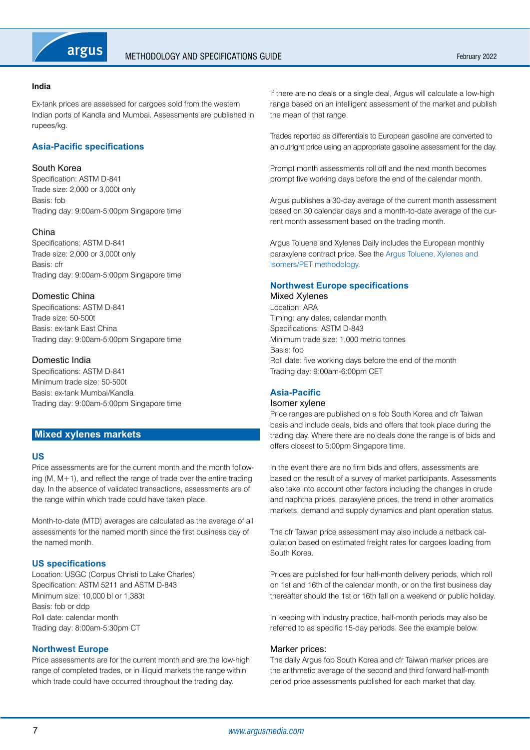<span id="page-6-0"></span>

#### **India**

Ex-tank prices are assessed for cargoes sold from the western Indian ports of Kandla and Mumbai. Assessments are published in rupees/kg.

## **Asia-Pacific specifications**

## South Korea

Specification: ASTM D-841 Trade size: 2,000 or 3,000t only Basis: fob Trading day: 9:00am-5:00pm Singapore time

## China

Specifications: ASTM D-841 Trade size: 2,000 or 3,000t only Basis: cfr Trading day: 9:00am-5:00pm Singapore time

## Domestic China

Specifications: ASTM D-841 Trade size: 50-500t Basis: ex-tank East China Trading day: 9:00am-5:00pm Singapore time

## Domestic India

Specifications: ASTM D-841 Minimum trade size: 50-500t Basis: ex-tank Mumbai/Kandla Trading day: 9:00am-5:00pm Singapore time

## **Mixed xylenes markets**

## **US**

Price assessments are for the current month and the month following (M,  $M+1$ ), and reflect the range of trade over the entire trading day. In the absence of validated transactions, assessments are of the range within which trade could have taken place.

Month-to-date (MTD) averages are calculated as the average of all assessments for the named month since the first business day of the named month.

## **US specifications**

Location: USGC (Corpus Christi to Lake Charles) Specification: ASTM 5211 and ASTM D-843 Minimum size: 10,000 bl or 1,383t Basis: fob or ddp Roll date: calendar month Trading day: 8:00am-5:30pm CT

## **Northwest Europe**

Price assessments are for the current month and are the low-high range of completed trades, or in illiquid markets the range within which trade could have occurred throughout the trading day.

If there are no deals or a single deal, Argus will calculate a low-high range based on an intelligent assessment of the market and publish the mean of that range.

Trades reported as differentials to European gasoline are converted to an outright price using an appropriate gasoline assessment for the day.

Prompt month assessments roll off and the next month becomes prompt five working days before the end of the calendar month.

Argus publishes a 30-day average of the current month assessment based on 30 calendar days and a month-to-date average of the current month assessment based on the trading month.

Argus Toluene and Xylenes Daily includes the European monthly paraxylene contract price. See the [Argus Toluene, Xylenes and](https://www.argusmedia.com/-/media/Files/methodology/argus-toluene-xylenes-and-isomers-pet.ashx)  [Isomers/PET methodology](https://www.argusmedia.com/-/media/Files/methodology/argus-toluene-xylenes-and-isomers-pet.ashx).

## **Northwest Europe specifications**

Mixed Xylenes Location: ARA Timing: any dates, calendar month. Specifications: ASTM D-843 Minimum trade size: 1,000 metric tonnes Basis: fob Roll date: five working days before the end of the month Trading day: 9:00am-6:00pm CET

## **Asia-Pacific**

## Isomer xylene

Price ranges are published on a fob South Korea and cfr Taiwan basis and include deals, bids and offers that took place during the trading day. Where there are no deals done the range is of bids and offers closest to 5:00pm Singapore time.

In the event there are no firm bids and offers, assessments are based on the result of a survey of market participants. Assessments also take into account other factors including the changes in crude and naphtha prices, paraxylene prices, the trend in other aromatics markets, demand and supply dynamics and plant operation status.

The cfr Taiwan price assessment may also include a netback calculation based on estimated freight rates for cargoes loading from South Korea.

Prices are published for four half-month delivery periods, which roll on 1st and 16th of the calendar month, or on the first business day thereafter should the 1st or 16th fall on a weekend or public holiday.

In keeping with industry practice, half-month periods may also be referred to as specific 15-day periods. See the example below.

#### Marker prices:

The daily Argus fob South Korea and cfr Taiwan marker prices are the arithmetic average of the second and third forward half-month period price assessments published for each market that day.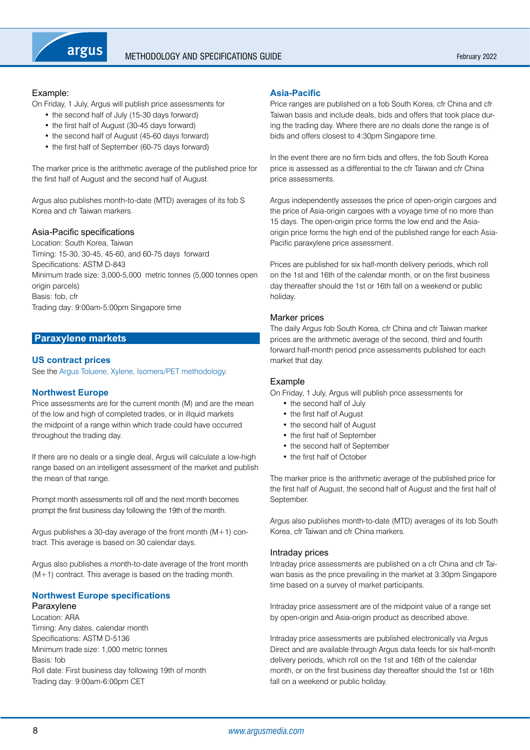<span id="page-7-0"></span>

## Example:

On Friday, 1 July, Argus will publish price assessments for

- the second half of July (15-30 days forward)
- the first half of August (30-45 days forward)
- the second half of August (45-60 days forward)
- the first half of September (60-75 days forward)

The marker price is the arithmetic average of the published price for the first half of August and the second half of August.

Argus also publishes month-to-date (MTD) averages of its fob S Korea and cfr Taiwan markers.

## Asia-Pacific specifications

Location: South Korea, Taiwan Timing: 15-30, 30-45, 45-60, and 60-75 days forward Specifications: ASTM D-843 Minimum trade size: 3,000-5,000 metric tonnes (5,000 tonnes open origin parcels) Basis: fob, cfr Trading day: 9:00am-5:00pm Singapore time

## **Paraxylene markets**

## **US contract prices**

See the [Argus Toluene, Xylene, Isomers/PET methodology](https://www.argusmedia.com/-/media/Files/methodology/argus-toluene-xylenes-and-isomers-pet.ashx).

## **Northwest Europe**

Price assessments are for the current month (M) and are the mean of the low and high of completed trades, or in illquid markets the midpoint of a range within which trade could have occurred throughout the trading day.

If there are no deals or a single deal, Argus will calculate a low-high range based on an intelligent assessment of the market and publish the mean of that range.

Prompt month assessments roll off and the next month becomes prompt the first business day following the 19th of the month.

Argus publishes a 30-day average of the front month (M+1) contract. This average is based on 30 calendar days.

Argus also publishes a month-to-date average of the front month  $(M+1)$  contract. This average is based on the trading month.

## **Northwest Europe specifications**

#### Paraxylene

Location: ARA Timing: Any dates, calendar month Specifications: ASTM D-5136 Minimum trade size: 1,000 metric tonnes Basis: fob Roll date: First business day following 19th of month Trading day: 9:00am-6:00pm CET

## **Asia-Pacific**

Price ranges are published on a fob South Korea, cfr China and cfr Taiwan basis and include deals, bids and offers that took place during the trading day. Where there are no deals done the range is of bids and offers closest to 4:30pm Singapore time.

In the event there are no firm bids and offers, the fob South Korea price is assessed as a differential to the cfr Taiwan and cfr China price assessments.

Argus independently assesses the price of open-origin cargoes and the price of Asia-origin cargoes with a voyage time of no more than 15 days. The open-origin price forms the low end and the Asiaorigin price forms the high end of the published range for each Asia-Pacific paraxylene price assessment.

Prices are published for six half-month delivery periods, which roll on the 1st and 16th of the calendar month, or on the first business day thereafter should the 1st or 16th fall on a weekend or public holiday.

## Marker prices

The daily Argus fob South Korea, cfr China and cfr Taiwan marker prices are the arithmetic average of the second, third and fourth forward half-month period price assessments published for each market that day.

## Example

On Friday, 1 July, Argus will publish price assessments for

- the second half of July
- the first half of August
- the second half of August
- the first half of September
- the second half of September
- the first half of October

The marker price is the arithmetic average of the published price for the first half of August, the second half of August and the first half of September.

Argus also publishes month-to-date (MTD) averages of its fob South Korea, cfr Taiwan and cfr China markers.

## Intraday prices

Intraday price assessments are published on a cfr China and cfr Taiwan basis as the price prevailing in the market at 3:30pm Singapore time based on a survey of market participants.

Intraday price assessment are of the midpoint value of a range set by open-origin and Asia-origin product as described above.

Intraday price assessments are published electronically via Argus Direct and are available through Argus data feeds for six half-month delivery periods, which roll on the 1st and 16th of the calendar month, or on the first business day thereafter should the 1st or 16th fall on a weekend or public holiday.